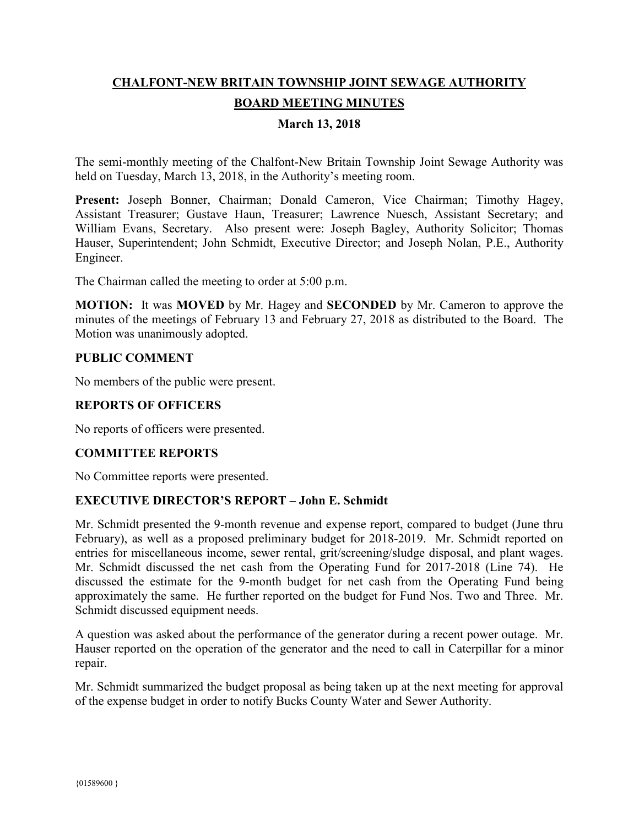# **CHALFONT-NEW BRITAIN TOWNSHIP JOINT SEWAGE AUTHORITY BOARD MEETING MINUTES**

### **March 13, 2018**

The semi-monthly meeting of the Chalfont-New Britain Township Joint Sewage Authority was held on Tuesday, March 13, 2018, in the Authority's meeting room.

Present: Joseph Bonner, Chairman; Donald Cameron, Vice Chairman; Timothy Hagey, Assistant Treasurer; Gustave Haun, Treasurer; Lawrence Nuesch, Assistant Secretary; and William Evans, Secretary. Also present were: Joseph Bagley, Authority Solicitor; Thomas Hauser, Superintendent; John Schmidt, Executive Director; and Joseph Nolan, P.E., Authority Engineer.

The Chairman called the meeting to order at 5:00 p.m.

**MOTION:** It was **MOVED** by Mr. Hagey and **SECONDED** by Mr. Cameron to approve the minutes of the meetings of February 13 and February 27, 2018 as distributed to the Board. The Motion was unanimously adopted.

#### **PUBLIC COMMENT**

No members of the public were present.

#### **REPORTS OF OFFICERS**

No reports of officers were presented.

#### **COMMITTEE REPORTS**

No Committee reports were presented.

#### **EXECUTIVE DIRECTOR'S REPORT – John E. Schmidt**

Mr. Schmidt presented the 9-month revenue and expense report, compared to budget (June thru February), as well as a proposed preliminary budget for 2018-2019. Mr. Schmidt reported on entries for miscellaneous income, sewer rental, grit/screening/sludge disposal, and plant wages. Mr. Schmidt discussed the net cash from the Operating Fund for 2017-2018 (Line 74). He discussed the estimate for the 9-month budget for net cash from the Operating Fund being approximately the same. He further reported on the budget for Fund Nos. Two and Three. Mr. Schmidt discussed equipment needs.

A question was asked about the performance of the generator during a recent power outage. Mr. Hauser reported on the operation of the generator and the need to call in Caterpillar for a minor repair.

Mr. Schmidt summarized the budget proposal as being taken up at the next meeting for approval of the expense budget in order to notify Bucks County Water and Sewer Authority.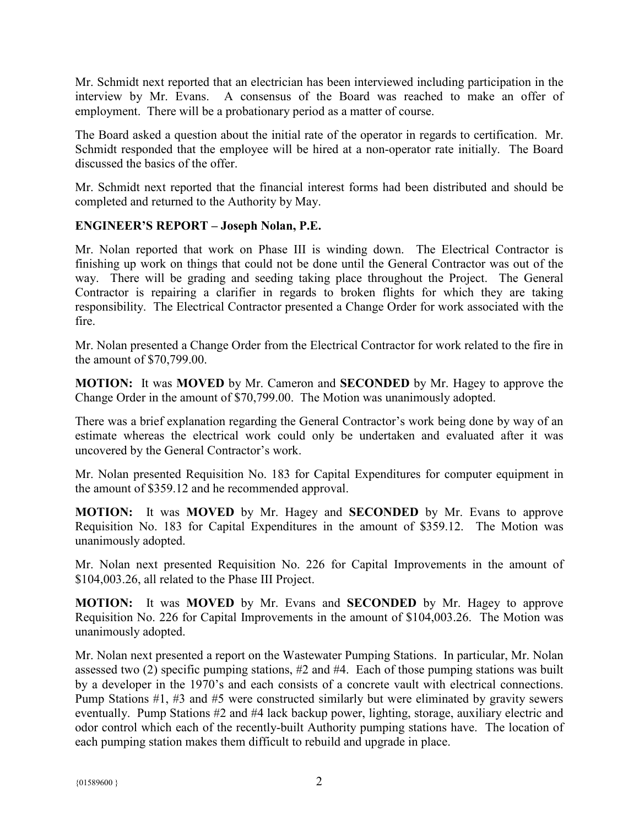Mr. Schmidt next reported that an electrician has been interviewed including participation in the interview by Mr. Evans. A consensus of the Board was reached to make an offer of employment. There will be a probationary period as a matter of course.

The Board asked a question about the initial rate of the operator in regards to certification. Mr. Schmidt responded that the employee will be hired at a non-operator rate initially. The Board discussed the basics of the offer.

Mr. Schmidt next reported that the financial interest forms had been distributed and should be completed and returned to the Authority by May.

## **ENGINEER'S REPORT – Joseph Nolan, P.E.**

Mr. Nolan reported that work on Phase III is winding down. The Electrical Contractor is finishing up work on things that could not be done until the General Contractor was out of the way. There will be grading and seeding taking place throughout the Project. The General Contractor is repairing a clarifier in regards to broken flights for which they are taking responsibility. The Electrical Contractor presented a Change Order for work associated with the fire.

Mr. Nolan presented a Change Order from the Electrical Contractor for work related to the fire in the amount of \$70,799.00.

**MOTION:** It was **MOVED** by Mr. Cameron and **SECONDED** by Mr. Hagey to approve the Change Order in the amount of \$70,799.00. The Motion was unanimously adopted.

There was a brief explanation regarding the General Contractor's work being done by way of an estimate whereas the electrical work could only be undertaken and evaluated after it was uncovered by the General Contractor's work.

Mr. Nolan presented Requisition No. 183 for Capital Expenditures for computer equipment in the amount of \$359.12 and he recommended approval.

**MOTION:** It was **MOVED** by Mr. Hagey and **SECONDED** by Mr. Evans to approve Requisition No. 183 for Capital Expenditures in the amount of \$359.12. The Motion was unanimously adopted.

Mr. Nolan next presented Requisition No. 226 for Capital Improvements in the amount of \$104,003.26, all related to the Phase III Project.

**MOTION:** It was **MOVED** by Mr. Evans and **SECONDED** by Mr. Hagey to approve Requisition No. 226 for Capital Improvements in the amount of \$104,003.26. The Motion was unanimously adopted.

Mr. Nolan next presented a report on the Wastewater Pumping Stations. In particular, Mr. Nolan assessed two (2) specific pumping stations, #2 and #4. Each of those pumping stations was built by a developer in the 1970's and each consists of a concrete vault with electrical connections. Pump Stations #1, #3 and #5 were constructed similarly but were eliminated by gravity sewers eventually. Pump Stations #2 and #4 lack backup power, lighting, storage, auxiliary electric and odor control which each of the recently-built Authority pumping stations have. The location of each pumping station makes them difficult to rebuild and upgrade in place.